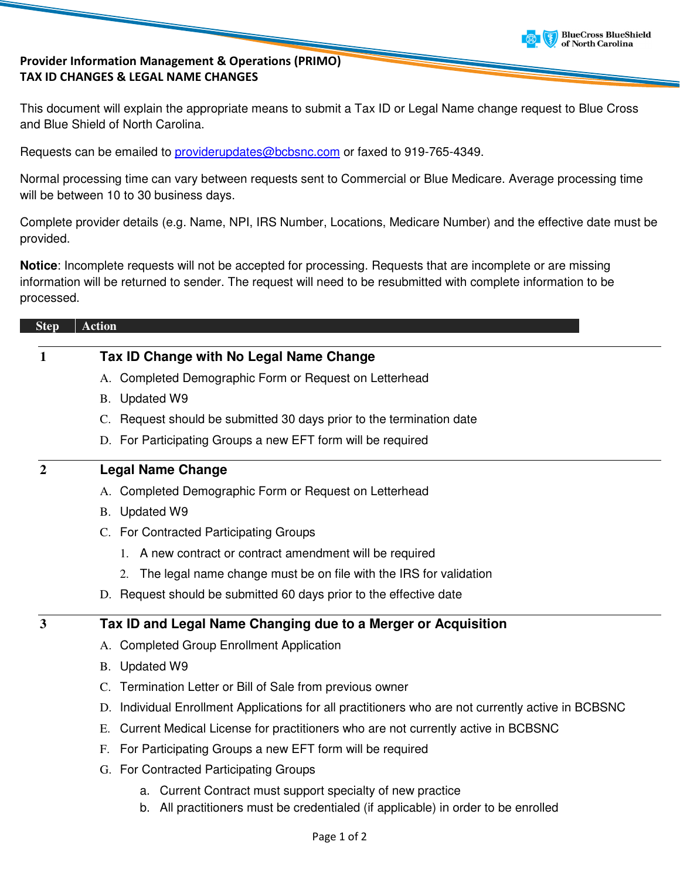

#### Provider Information Management & Operations (PRIMO) TAX ID CHANGES & LEGAL NAME CHANGES

This document will explain the appropriate means to submit a Tax ID or Legal Name change request to Blue Cross and Blue Shield of North Carolina.

Requests can be emailed to providerupdates@bcbsnc.com or faxed to 919-765-4349.

Normal processing time can vary between requests sent to Commercial or Blue Medicare. Average processing time will be between 10 to 30 business days.

Complete provider details (e.g. Name, NPI, IRS Number, Locations, Medicare Number) and the effective date must be provided.

**Notice**: Incomplete requests will not be accepted for processing. Requests that are incomplete or are missing information will be returned to sender. The request will need to be resubmitted with complete information to be processed.

# **Step Action 1 Tax ID Change with No Legal Name Change**

- A. Completed Demographic Form or Request on Letterhead
- B. Updated W9
- C. Request should be submitted 30 days prior to the termination date
- D. For Participating Groups a new EFT form will be required

## **2 Legal Name Change**

- A. Completed Demographic Form or Request on Letterhead
- B. Updated W9
- C. For Contracted Participating Groups
	- 1. A new contract or contract amendment will be required
	- 2. The legal name change must be on file with the IRS for validation
- D. Request should be submitted 60 days prior to the effective date

## **3 Tax ID and Legal Name Changing due to a Merger or Acquisition**

- A. Completed Group Enrollment Application
- B. Updated W9
- C. Termination Letter or Bill of Sale from previous owner
- D. Individual Enrollment Applications for all practitioners who are not currently active in BCBSNC
- E. Current Medical License for practitioners who are not currently active in BCBSNC
- F. For Participating Groups a new EFT form will be required
- G. For Contracted Participating Groups
	- a. Current Contract must support specialty of new practice
	- b. All practitioners must be credentialed (if applicable) in order to be enrolled